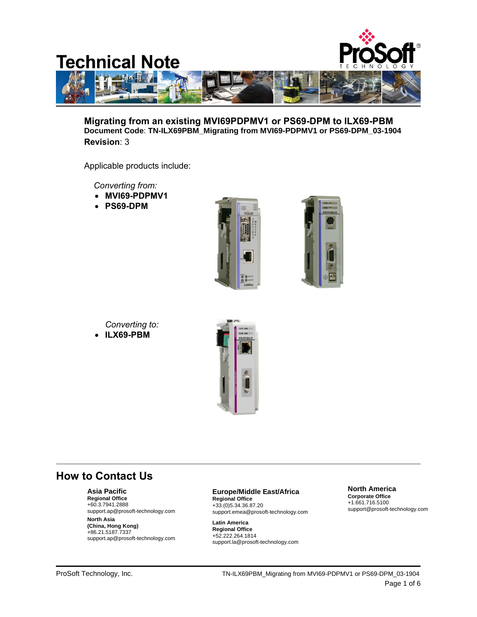

**Migrating from an existing MVI69PDPMV1 or PS69-DPM to ILX69-PBM Document Code**: **TN-ILX69PBM\_Migrating from MVI69-PDPMV1 or PS69-DPM\_03-1904 Revision**: 3

Applicable products include:

 *Converting from:*

- **MVI69-PDPMV1**
- **PS69-DPM**





- *Converting to:*
- **ILX69-PBM**



# **How to Contact Us**

## **Asia Pacific**

**Regional Office** +60.3.7941.2888 support.ap@prosoft-technology.com

**North Asia (China, Hong Kong)** +86.21.5187.7337 support.ap@prosoft-technology.com

# **Europe/Middle East/Africa**

**Regional Office** +33.(0)5.34.36.87.20 support.emea@prosoft-technology.com

**Latin America Regional Office** +52.222.264.1814 support.la@prosoft-technology.com

#### **North America Corporate Office** +1.661.716.5100

support@prosoft-technology.com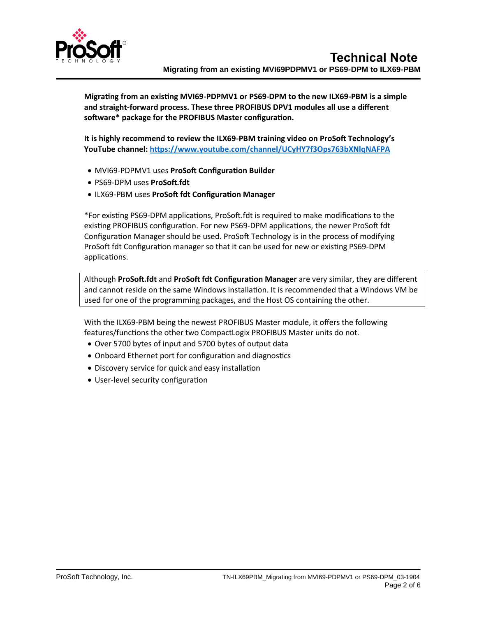

**Migrating from an existing MVI69-PDPMV1 or PS69-DPM to the new ILX69-PBM is a simple and straight-forward process. These three PROFIBUS DPV1 modules all use a different software\* package for the PROFIBUS Master configuration.** 

**It is highly recommend to review the ILX69-PBM training video on ProSoft Technology's YouTube channel:<https://www.youtube.com/channel/UCyHY7f3Ops763bXNlqNAFPA>**

- MVI69-PDPMV1 uses **ProSoft Configuration Builder**
- PS69-DPM uses **ProSoft.fdt**
- ILX69-PBM uses **ProSoft fdt Configuration Manager**

\*For existing PS69-DPM applications, ProSoft.fdt is required to make modifications to the existing PROFIBUS configuration. For new PS69-DPM applications, the newer ProSoft fdt Configuration Manager should be used. ProSoft Technology is in the process of modifying ProSoft fdt Configuration manager so that it can be used for new or existing PS69-DPM applications.

Although **ProSoft.fdt** and **ProSoft fdt Configuration Manager** are very similar, they are different and cannot reside on the same Windows installation. It is recommended that a Windows VM be used for one of the programming packages, and the Host OS containing the other.

With the ILX69-PBM being the newest PROFIBUS Master module, it offers the following features/functions the other two CompactLogix PROFIBUS Master units do not.

- Over 5700 bytes of input and 5700 bytes of output data
- Onboard Ethernet port for configuration and diagnostics
- Discovery service for quick and easy installation
- User-level security configuration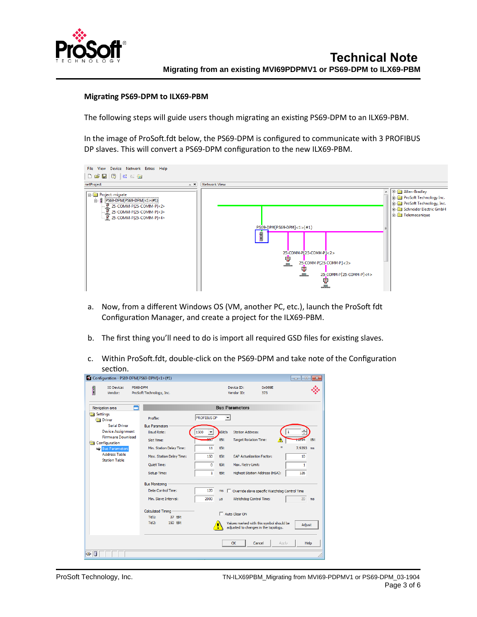

### **Migrating PS69-DPM to ILX69-PBM**

The following steps will guide users though migrating an existing PS69-DPM to an ILX69-PBM.

In the image of ProSoft.fdt below, the PS69-DPM is configured to communicate with 3 PROFIBUS DP slaves. This will convert a PS69-DPM configuration to the new ILX69-PBM.



- a. Now, from a different Windows OS (VM, another PC, etc.), launch the ProSoft fdt Configuration Manager, and create a project for the ILX69-PBM.
- b. The first thing you'll need to do is import all required GSD files for existing slaves.
- c. Within ProSoft.fdt, double-click on the PS69-DPM and take note of the Configuration section.

| <b>TO Device:</b><br>f<br>Vendor:                 | PS69-DPM<br>ProSoft Technology, Inc.  | Device ID:<br>0x069E<br>Vendor ID:<br>373                                                  |  |  |  |  |
|---------------------------------------------------|---------------------------------------|--------------------------------------------------------------------------------------------|--|--|--|--|
|                                                   |                                       |                                                                                            |  |  |  |  |
| Navigation area                                   | <b>Bus Parameters</b>                 |                                                                                            |  |  |  |  |
| Settings<br><b>Driver</b><br><b>Serial Driver</b> | Profile:<br><b>Bus Parameters</b>     | <b>PROFIBUS DP</b><br>$\overline{\phantom{a}}$                                             |  |  |  |  |
| <b>Device Assignment</b>                          | <b>Baud Rate:</b>                     | <b>Station Address:</b><br>kBit/s<br>1500                                                  |  |  |  |  |
| <b>Firmware Download</b><br>Configuration         | Slot Time:                            | tBit<br><b>Target Rotation Time:</b><br>11894<br>tBit                                      |  |  |  |  |
| <b>Bus Parameters</b>                             | Min. Station Delay Time:              | 11<br>tBit<br>-<br>7.9293 ms                                                               |  |  |  |  |
| <b>Address Table</b><br><b>Station Table</b>      | Max. Station Delay Time:              | 150<br>tBit<br><b>GAP Actualization Factor:</b><br>10 <sup>10</sup>                        |  |  |  |  |
|                                                   | <b>Ouiet Time:</b>                    | Max. Retry Limit:<br>tBit<br>0<br>$\mathbf{1}$                                             |  |  |  |  |
|                                                   | Setup Time:                           | Highest Station Address (HSA):<br>126<br>1<br><b>HBit</b>                                  |  |  |  |  |
|                                                   | <b>Bus Monitoring</b>                 |                                                                                            |  |  |  |  |
|                                                   | Data Control Time:                    | 120<br>ms<br>Override slave specific Watchdog Control Time                                 |  |  |  |  |
|                                                   | Min. Slave Interval:                  | Watchdog Control Time:<br>2000<br>20<br><b>US</b><br>ms                                    |  |  |  |  |
|                                                   | <b>Calculated Timing</b>              | Auto Clear ON                                                                              |  |  |  |  |
|                                                   | Tid1:<br>37 tBit<br>Tid2:<br>150 tBit |                                                                                            |  |  |  |  |
|                                                   |                                       | Values marked with this symbol should be<br>Adjust<br>adjusted to changes in the topology. |  |  |  |  |
|                                                   |                                       | Apply<br>Help<br>OK<br>Cancel                                                              |  |  |  |  |
| $\triangleright$ 0                                |                                       |                                                                                            |  |  |  |  |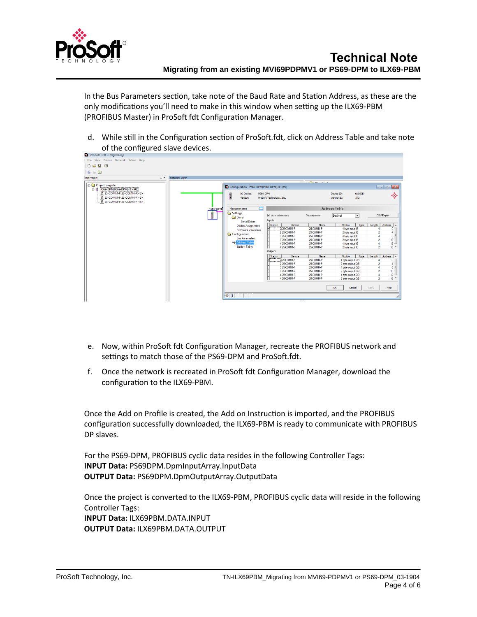

In the Bus Parameters section, take note of the Baud Rate and Station Address, as these are the only modifications you'll need to make in this window when setting up the ILX69-PBM (PROFIBUS Master) in ProSoft fdt Configuration Manager.

d. While still in the Configuration section of ProSoft.fdt, click on Address Table and take note of the configured slave devices.

| PROSOFT.fdt - [migrate.spj]            |                     |                                           |                          |                                                      |                                    |        |                          |                                   |  |
|----------------------------------------|---------------------|-------------------------------------------|--------------------------|------------------------------------------------------|------------------------------------|--------|--------------------------|-----------------------------------|--|
| File View Device Network Extras Help   |                     |                                           |                          |                                                      |                                    |        |                          |                                   |  |
| <b>DBH12</b>                           |                     |                                           |                          |                                                      |                                    |        |                          |                                   |  |
| 書書圖                                    |                     |                                           |                          |                                                      |                                    |        |                          |                                   |  |
|                                        |                     |                                           |                          |                                                      |                                    |        |                          |                                   |  |
| netProject<br>$\triangle X$            | <b>Network View</b> |                                           |                          |                                                      |                                    |        |                          |                                   |  |
| <b>Project: migrate</b>                |                     |                                           |                          | $\sqrt{m}$ $\approx$ $\sqrt{m}$ $\approx$ $\sqrt{m}$ |                                    |        |                          |                                   |  |
| PS69-DPM[PS69-DPM]<1>(#1)              |                     | Configuration - PS69-DPM[PS69-DPM]<1>(#1) |                          |                                                      |                                    |        |                          |                                   |  |
| 25-COMM-P[25-COMM-P]<2>                |                     | PS69-DPM<br><b>IO</b> Device:             |                          |                                                      | Device ID:                         | 0x069E |                          |                                   |  |
| 25-COMM-P[25-COMM-P]<3>                |                     | f<br>Vendor:                              | ProSoft Technology, Inc. |                                                      | Vendor ID:                         | 373    |                          | ◈                                 |  |
| $\frac{10}{2}$ 25-COMM-P[25-COMM-P]<4> |                     |                                           |                          |                                                      |                                    |        |                          |                                   |  |
|                                        |                     |                                           |                          |                                                      |                                    |        |                          |                                   |  |
|                                        | PS69-DPMI           | $\Box$<br>Navigation area                 | <b>Address Table</b>     |                                                      |                                    |        |                          |                                   |  |
|                                        | F                   | Settings                                  |                          |                                                      |                                    |        |                          |                                   |  |
|                                        | Ш                   | <b>Driver</b>                             | Ⅳ Auto addressing        | Display mode:                                        | Decimal                            | ᆂ      | CSV Export               |                                   |  |
|                                        |                     | <b>Serial Driver</b>                      | Inputs:                  |                                                      |                                    |        |                          |                                   |  |
|                                        |                     | <b>Device Assignment</b>                  | Sation<br>Device         | Name                                                 | Module                             | Type   | Length                   | Address                           |  |
|                                        |                     | <b>Firmware Download</b>                  | 225 COMM-P               | 25-COMM-P                                            | 4 byte input IB                    |        |                          | $\bullet$                         |  |
|                                        |                     | Configuration                             | 225COMM-P<br>3 25 COMM-P | 25-COMM-P<br>25-COMM-P                               | 2 byte input IB                    |        |                          | 4<br>Ξ                            |  |
|                                        |                     | <b>Bus Parameters</b>                     | 3 25 COMM-P              | 25-COMM-P                                            | 4 byte input IB<br>2 byte input IB |        |                          | 6 <sup>1</sup><br>10 <sup>1</sup> |  |
|                                        |                     | Address Table                             | 4 25 COMM-P              | 25-COMM-P                                            | 4 byte input IB                    |        |                          | 12                                |  |
|                                        |                     | <b>Station Table</b>                      | 4 25 COMM-P              | 25-COMM-P                                            | 2 byte input IB                    |        | $\overline{\phantom{a}}$ | $16 -$                            |  |
|                                        |                     |                                           | <b>Outputs:</b>          |                                                      |                                    |        |                          |                                   |  |
|                                        |                     |                                           | Station<br>Device        | Name                                                 | Module                             | Type   | Length                   | Address                           |  |
|                                        |                     |                                           | 225 COMM-P               | 25-COMM-P                                            | 4 byte output QB                   |        |                          | $\theta$                          |  |
|                                        |                     |                                           | 225-COMM-P               | 25-COMM-P                                            | 2 byte output QB                   |        |                          | 4                                 |  |
|                                        |                     |                                           | 3 25 COMM-P              | 25-COMM-P                                            | 4 byte output QB                   |        |                          | 6<br>Ξ                            |  |
|                                        |                     |                                           | 3 25 COMM-P              | 25-COMM-P                                            | 2 byte output QB                   |        |                          | 10 <sub>1</sub>                   |  |
|                                        |                     |                                           | 4 25 COMM-P              | 25-COMM-P                                            | 4 byte output QB                   |        |                          | 12                                |  |
|                                        |                     |                                           | 4 25 COMM-P              | 25-COMM-P                                            | 2 byte output QB                   |        | $\overline{2}$           | $16^{-4}$                         |  |
|                                        |                     |                                           |                          |                                                      |                                    |        |                          |                                   |  |
|                                        |                     |                                           |                          |                                                      | OK<br>Cancel                       |        | Apply.                   | Help                              |  |
|                                        |                     |                                           |                          |                                                      |                                    |        |                          |                                   |  |
|                                        |                     | $4P$ <sup>0</sup>                         |                          |                                                      |                                    |        |                          |                                   |  |
|                                        |                     |                                           |                          |                                                      |                                    |        |                          |                                   |  |

- e. Now, within ProSoft fdt Configuration Manager, recreate the PROFIBUS network and settings to match those of the PS69-DPM and ProSoft.fdt.
- f. Once the network is recreated in ProSoft fdt Configuration Manager, download the configuration to the ILX69-PBM.

Once the Add on Profile is created, the Add on Instruction is imported, and the PROFIBUS configuration successfully downloaded, the ILX69-PBM is ready to communicate with PROFIBUS DP slaves.

For the PS69-DPM, PROFIBUS cyclic data resides in the following Controller Tags: **INPUT Data:** PS69DPM.DpmInputArray.InputData **OUTPUT Data:** PS69DPM.DpmOutputArray.OutputData

Once the project is converted to the ILX69-PBM, PROFIBUS cyclic data will reside in the following Controller Tags: **INPUT Data:** ILX69PBM.DATA.INPUT **OUTPUT Data:** ILX69PBM.DATA.OUTPUT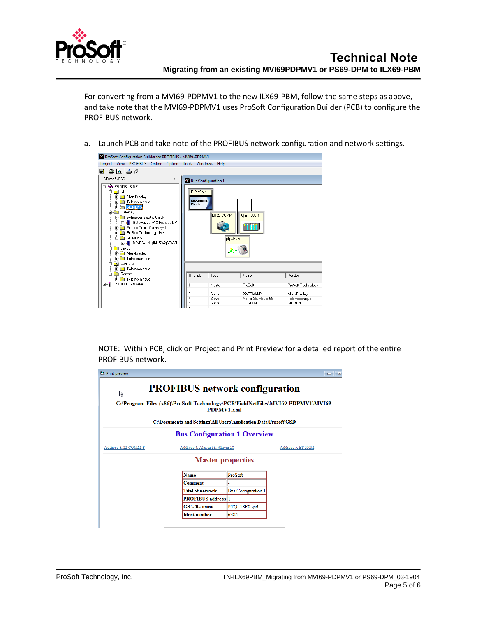

For converting from a MVI69-PDPMV1 to the new ILX69-PBM, follow the same steps as above, and take note that the MVI69-PDPMV1 uses ProSoft Configuration Builder (PCB) to configure the PROFIBUS network.

a. Launch PCB and take note of the PROFIBUS network configuration and network settings.



NOTE: Within PCB, click on Project and Print Preview for a detailed report of the entire PROFIBUS network.